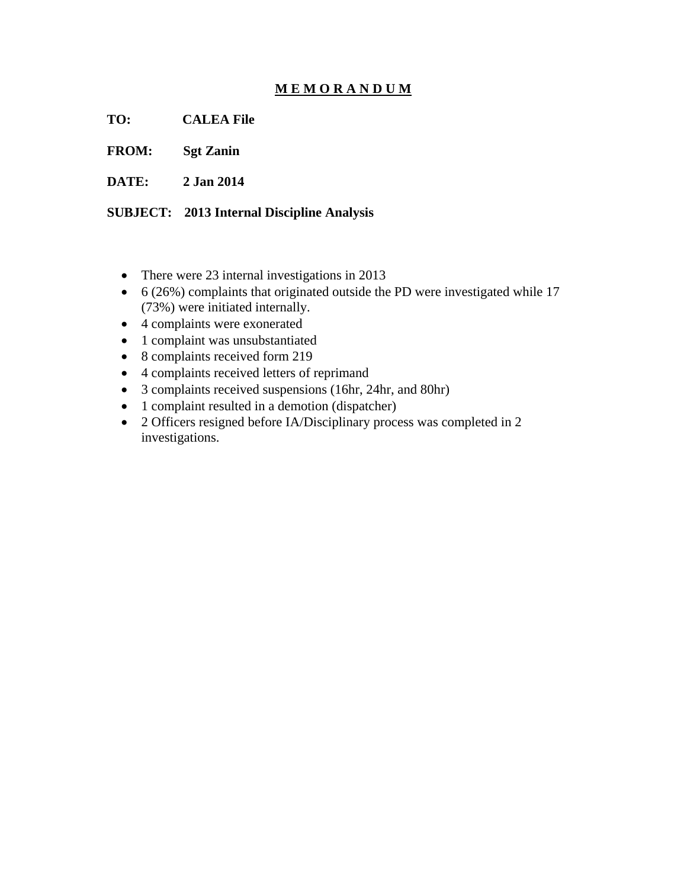## **M E M O R A N D U M**

**TO: CALEA File** 

**FROM: Sgt Zanin** 

**DATE: 2 Jan 2014** 

**SUBJECT: 2013 Internal Discipline Analysis** 

- There were 23 internal investigations in 2013
- $\bullet$  6 (26%) complaints that originated outside the PD were investigated while 17 (73%) were initiated internally.
- 4 complaints were exonerated
- 1 complaint was unsubstantiated
- 8 complaints received form 219
- 4 complaints received letters of reprimand
- 3 complaints received suspensions (16hr, 24hr, and 80hr)
- 1 complaint resulted in a demotion (dispatcher)
- 2 Officers resigned before IA/Disciplinary process was completed in 2 investigations.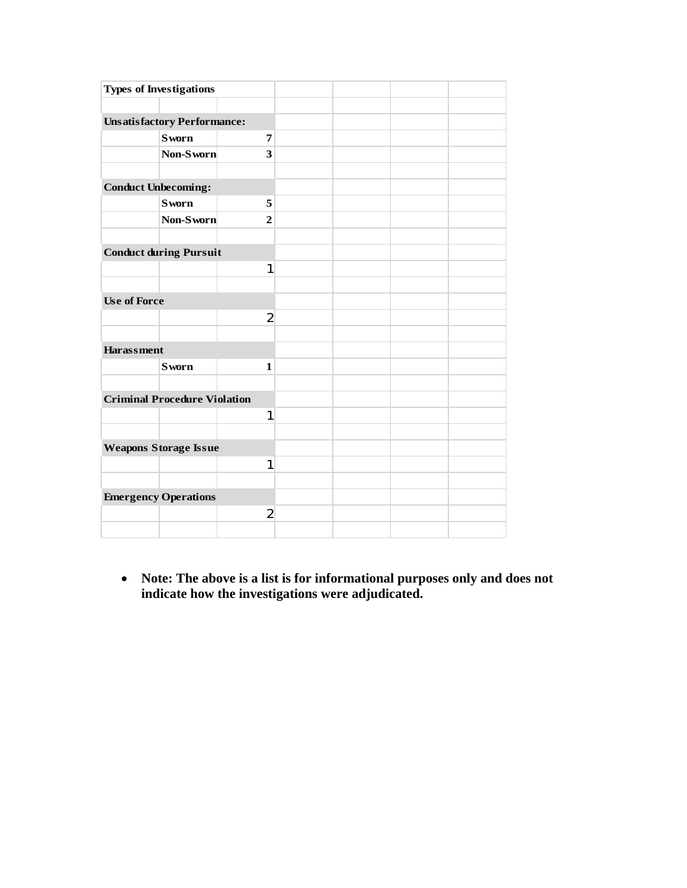| <b>Types of Investigations</b>     |                                     |                         |  |  |  |  |
|------------------------------------|-------------------------------------|-------------------------|--|--|--|--|
|                                    |                                     |                         |  |  |  |  |
| <b>Unsatisfactory Performance:</b> |                                     |                         |  |  |  |  |
|                                    | <b>Sworn</b>                        | 7                       |  |  |  |  |
|                                    | Non-Sworn                           | $\overline{\mathbf{3}}$ |  |  |  |  |
|                                    |                                     |                         |  |  |  |  |
| <b>Conduct Unbecoming:</b>         |                                     |                         |  |  |  |  |
|                                    | <b>Sworn</b>                        | 5                       |  |  |  |  |
|                                    | Non-Sworn                           | $\overline{2}$          |  |  |  |  |
|                                    |                                     |                         |  |  |  |  |
|                                    | <b>Conduct during Pursuit</b>       |                         |  |  |  |  |
|                                    |                                     | 1                       |  |  |  |  |
|                                    |                                     |                         |  |  |  |  |
| <b>Use of Force</b>                |                                     |                         |  |  |  |  |
|                                    |                                     | $\overline{2}$          |  |  |  |  |
|                                    |                                     |                         |  |  |  |  |
| <b>Harassment</b>                  |                                     |                         |  |  |  |  |
|                                    | <b>Sworn</b>                        | 1                       |  |  |  |  |
|                                    |                                     |                         |  |  |  |  |
|                                    | <b>Criminal Procedure Violation</b> |                         |  |  |  |  |
|                                    |                                     | 1                       |  |  |  |  |
|                                    |                                     |                         |  |  |  |  |
|                                    | <b>Weapons Storage Issue</b>        |                         |  |  |  |  |
|                                    |                                     | 1                       |  |  |  |  |
|                                    |                                     |                         |  |  |  |  |
|                                    | <b>Emergency Operations</b>         |                         |  |  |  |  |
|                                    |                                     | $\overline{2}$          |  |  |  |  |
|                                    |                                     |                         |  |  |  |  |

 **Note: The above is a list is for informational purposes only and does not indicate how the investigations were adjudicated.**